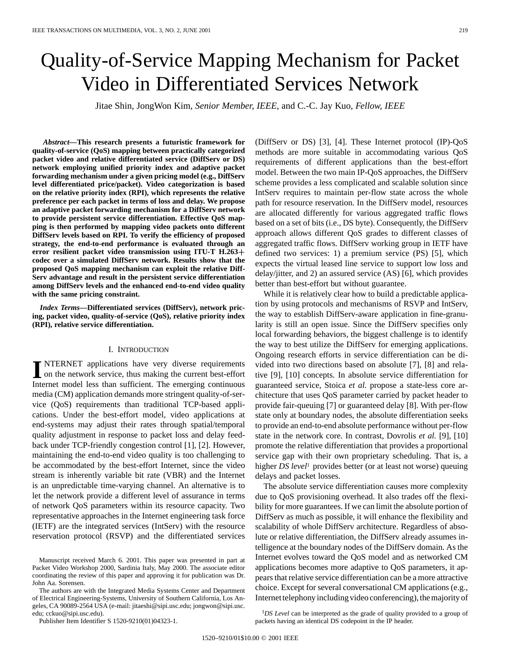# Quality-of-Service Mapping Mechanism for Packet Video in Differentiated Services Network

Jitae Shin, JongWon Kim*, Senior Member, IEEE*, and C.-C. Jay Kuo*, Fellow, IEEE*

*Abstract—***This research presents a futuristic framework for quality-of-service (QoS) mapping between practically categorized packet video and relative differentiated service (DiffServ or DS) network employing unified priority index and adaptive packet forwarding mechanism under a given pricing model (e.g., DiffServ level differentiated price/packet). Video categorization is based on the relative priority index (RPI), which represents the relative preference per each packet in terms of loss and delay. We propose an adaptive packet forwarding mechanism for a DiffServ network to provide persistent service differentiation. Effective QoS mapping is then performed by mapping video packets onto different DiffServ levels based on RPI. To verify the efficiency of proposed strategy, the end-to-end performance is evaluated through an error resilient packet video transmission using ITU-T H.263**+ **codec over a simulated DiffServ network. Results show that the proposed QoS mapping mechanism can exploit the relative Diff-Serv advantage and result in the persistent service differentiation among DiffServ levels and the enhanced end-to-end video quality with the same pricing constraint.**

*Index Terms—***Differentiated services (DiffServ), network pricing, packet video, quality-of-service (QoS), relative priority index (RPI), relative service differentiation.**

## I. INTRODUCTION

INTERNET applications have very diverse requirements<br>on the network service, thus making the current best-effort Internet model less than sufficient. The emerging continuous media (CM) application demands more stringent quality-of-service (QoS) requirements than traditional TCP-based applications. Under the best-effort model, video applications at end-systems may adjust their rates through spatial/temporal quality adjustment in response to packet loss and delay feedback under TCP-friendly congestion control [1], [2]. However, maintaining the end-to-end video quality is too challenging to be accommodated by the best-effort Internet, since the video stream is inherently variable bit rate (VBR) and the Internet is an unpredictable time-varying channel. An alternative is to let the network provide a different level of assurance in terms of network QoS parameters within its resource capacity. Two representative approaches in the Internet engineering task force (IETF) are the integrated services (IntServ) with the resource reservation protocol (RSVP) and the differentiated services

The authors are with the Integrated Media Systems Center and Department of Electrical Engineering-Systems, University of Southern California, Los Angeles, CA 90089-2564 USA (e-mail: jitaeshi@sipi.usc.edu; jongwon@sipi.usc. edu; cckuo@sipi.usc.edu).

Publisher Item Identifier S 1520-9210(01)04323-1.

(DiffServ or DS) [3], [4]. These Internet protocol (IP)-QoS methods are more suitable in accommodating various QoS requirements of different applications than the best-effort model. Between the two main IP-QoS approaches, the DiffServ scheme provides a less complicated and scalable solution since IntServ requires to maintain per-flow state across the whole path for resource reservation. In the DiffServ model, resources are allocated differently for various aggregated traffic flows based on a set of bits (i.e., DS byte). Consequently, the DiffServ approach allows different QoS grades to different classes of aggregated traffic flows. DiffServ working group in IETF have defined two services: 1) a premium service (PS) [5], which expects the virtual leased line service to support low loss and delay/jitter, and 2) an assured service (AS) [6], which provides better than best-effort but without guarantee.

While it is relatively clear how to build a predictable application by using protocols and mechanisms of RSVP and IntServ, the way to establish DiffServ-aware application in fine-granularity is still an open issue. Since the DiffServ specifies only local forwarding behaviors, the biggest challenge is to identify the way to best utilize the DiffServ for emerging applications. Ongoing research efforts in service differentiation can be divided into two directions based on absolute [7], [8] and relative [9], [10] concepts. In absolute service differentiation for guaranteed service, Stoica *et al.* propose a state-less core architecture that uses QoS parameter carried by packet header to provide fair-queuing [7] or guaranteed delay [8]. With per-flow state only at boundary nodes, the absolute differentiation seeks to provide an end-to-end absolute performance without per-flow state in the network core. In contrast, Dovrolis *et al.* [9], [10] promote the relative differentiation that provides a proportional service gap with their own proprietary scheduling. That is, a higher *DS level*<sup>1</sup> provides better (or at least not worse) queuing delays and packet losses.

The absolute service differentiation causes more complexity due to QoS provisioning overhead. It also trades off the flexibility for more guarantees. If we can limit the absolute portion of DiffServ as much as possible, it will enhance the flexibility and scalability of whole DiffServ architecture. Regardless of absolute or relative differentiation, the DiffServ already assumes intelligence at the boundary nodes of the DiffServ domain. As the Internet evolves toward the QoS model and as networked CM applications becomes more adaptive to QoS parameters, it appears that relative service differentiation can be a more attractive choice. Except for several conversational CM applications (e.g., Internet telephony including video conferencing), the majority of

<sup>1</sup>DS Level can be interpreted as the grade of quality provided to a group of packets having an identical DS codepoint in the IP header.

Manuscript received March 6. 2001. This paper was presented in part at Packet Video Workshop 2000, Sardinia Italy, May 2000. The associate editor coordinating the review of this paper and approving it for publication was Dr. John Aa. Sorensen.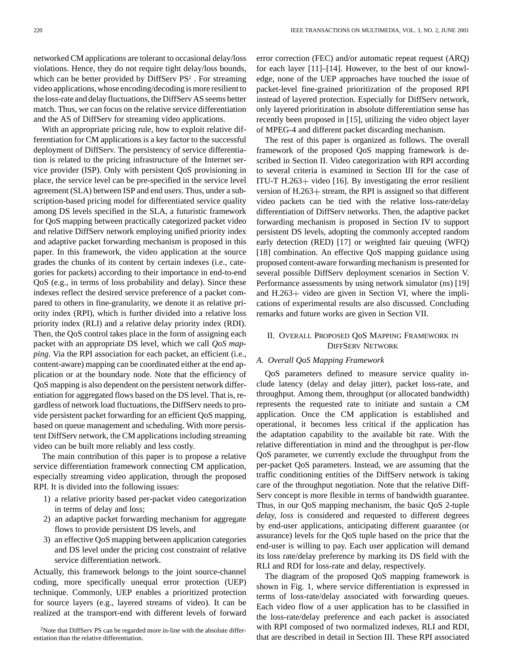networked CM applications are tolerant to occasional delay/loss violations. Hence, they do not require tight delay/loss bounds, which can be better provided by DiffServ PS<sup>2</sup>. For streaming video applications, whose encoding/decoding is more resilient to the loss-rate and delay fluctuations, the DiffServ AS seems better match. Thus, we can focus on the relative service differentiation and the AS of DiffServ for streaming video applications.

With an appropriate pricing rule, how to exploit relative differentiation for CM applications is a key factor to the successful deployment of DiffServ. The persistency of service differentiation is related to the pricing infrastructure of the Internet service provider (ISP). Only with persistent QoS provisioning in place, the service level can be pre-specified in the service level agreement (SLA) between ISP and end users. Thus, under a subscription-based pricing model for differentiated service quality among DS levels specified in the SLA, a futuristic framework for QoS mapping between practically categorized packet video and relative DiffServ network employing unified priority index and adaptive packet forwarding mechanism is proposed in this paper. In this framework, the video application at the source grades the chunks of its content by certain indexes (i.e., categories for packets) according to their importance in end-to-end QoS (e.g., in terms of loss probability and delay). Since these indexes reflect the desired service preference of a packet compared to others in fine-granularity, we denote it as relative priority index (RPI), which is further divided into a relative loss priority index (RLI) and a relative delay priority index (RDI). Then, the QoS control takes place in the form of assigning each packet with an appropriate DS level, which we call *QoS mapping*. Via the RPI association for each packet, an efficient (i.e., content-aware) mapping can be coordinated either at the end application or at the boundary node. Note that the efficiency of QoS mapping is also dependent on the persistent network differentiation for aggregated flows based on the DS level. That is, regardless of network load fluctuations, the DiffServ needs to provide persistent packet forwarding for an efficient QoS mapping, based on queue management and scheduling. With more persistent DiffServ network, the CM applications including streaming video can be built more reliably and less costly.

The main contribution of this paper is to propose a relative service differentiation framework connecting CM application, especially streaming video application, through the proposed RPI. It is divided into the following issues:

- 1) a relative priority based per-packet video categorization in terms of delay and loss;
- 2) an adaptive packet forwarding mechanism for aggregate flows to provide persistent DS levels, and
- 3) an effective QoS mapping between application categories and DS level under the pricing cost constraint of relative service differentiation network.

Actually, this framework belongs to the joint source-channel coding, more specifically unequal error protection (UEP) technique. Commonly, UEP enables a prioritized protection for source layers (e.g., layered streams of video). It can be realized at the transport-end with different levels of forward

2Note that DiffServ PS can be regarded more in-line with the absolute differentiation than the relative differentiation.

error correction (FEC) and/or automatic repeat request (ARQ) for each layer [11]–[14]. However, to the best of our knowledge, none of the UEP approaches have touched the issue of packet-level fine-grained prioritization of the proposed RPI instead of layered protection. Especially for DiffServ network, only layered prioritization in absolute differentiation sense has recently been proposed in [15], utilizing the video object layer of MPEG-4 and different packet discarding mechanism.

The rest of this paper is organized as follows. The overall framework of the proposed QoS mapping framework is described in Section II. Video categorization with RPI according to several criteria is examined in Section III for the case of ITU-T H.263+ video [16]. By investigating the error resilient version of  $H.263+$  stream, the RPI is assigned so that different video packets can be tied with the relative loss-rate/delay differentiation of DiffServ networks. Then, the adaptive packet forwarding mechanism is proposed in Section IV to support persistent DS levels, adopting the commonly accepted random early detection (RED) [17] or weighted fair queuing (WFQ) [18] combination. An effective QoS mapping guidance using proposed content-aware forwarding mechanism is presented for several possible DiffServ deployment scenarios in Section V. Performance assessments by using network simulator (ns) [19] and  $H.263+$  video are given in Section VI, where the implications of experimental results are also discussed. Concluding remarks and future works are given in Section VII.

## II. OVERALL PROPOSED QoS MAPPING FRAMEWORK IN DIFFSERV NETWORK

# *A. Overall QoS Mapping Framework*

QoS parameters defined to measure service quality include latency (delay and delay jitter), packet loss-rate, and throughput. Among them, throughput (or allocated bandwidth) represents the requested rate to initiate and sustain a CM application. Once the CM application is established and operational, it becomes less critical if the application has the adaptation capability to the available bit rate. With the relative differentiation in mind and the throughput is per-flow QoS parameter, we currently exclude the throughput from the per-packet QoS parameters. Instead, we are assuming that the traffic conditioning entities of the DiffServ network is taking care of the throughput negotiation. Note that the relative Diff-Serv concept is more flexible in terms of bandwidth guarantee. Thus, in our QoS mapping mechanism, the basic QoS 2-tuple *delay, loss* is considered and requested to different degrees by end-user applications, anticipating different guarantee (or assurance) levels for the QoS tuple based on the price that the end-user is willing to pay. Each user application will demand its loss rate/delay preference by marking its DS field with the RLI and RDI for loss-rate and delay, respectively.

The diagram of the proposed QoS mapping framework is shown in Fig. 1, where service differentiation is expressed in terms of loss-rate/delay associated with forwarding queues. Each video flow of a user application has to be classified in the loss-rate/delay preference and each packet is associated with RPI composed of two normalized indexes, RLI and RDI, that are described in detail in Section III. These RPI associated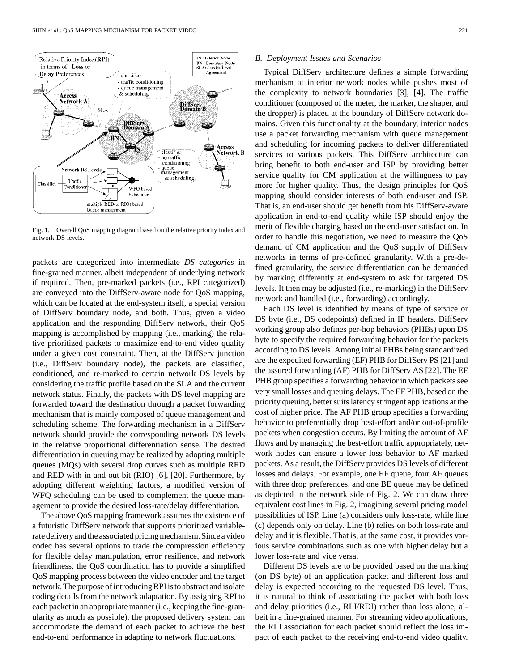

Fig. 1. Overall QoS mapping diagram based on the relative priority index and network DS levels.

packets are categorized into intermediate *DS categories* in fine-grained manner, albeit independent of underlying network if required. Then, pre-marked packets (i.e., RPI categorized) are conveyed into the DiffServ-aware node for QoS mapping, which can be located at the end-system itself, a special version of DiffServ boundary node, and both. Thus, given a video application and the responding DiffServ network, their QoS mapping is accomplished by mapping (i.e., marking) the relative prioritized packets to maximize end-to-end video quality under a given cost constraint. Then, at the DiffServ junction (i.e., DiffServ boundary node), the packets are classified, conditioned, and re-marked to certain network DS levels by considering the traffic profile based on the SLA and the current network status. Finally, the packets with DS level mapping are forwarded toward the destination through a packet forwarding mechanism that is mainly composed of queue management and scheduling scheme. The forwarding mechanism in a DiffServ network should provide the corresponding network DS levels in the relative proportional differentiation sense. The desired differentiation in queuing may be realized by adopting multiple queues (MQs) with several drop curves such as multiple RED and RED with in and out bit (RIO) [6], [20]. Furthermore, by adopting different weighting factors, a modified version of WFQ scheduling can be used to complement the queue management to provide the desired loss-rate/delay differentiation.

The above QoS mapping framework assumes the existence of a futuristic DiffServ network that supports prioritized variablerate delivery and the associated pricing mechanism. Since a video codec has several options to trade the compression efficiency for flexible delay manipulation, error resilience, and network friendliness, the QoS coordination has to provide a simplified QoS mapping process between the video encoder and the target network. The purpose of introducing RPI is to abstract and isolate coding details from the network adaptation. By assigning RPI to each packet in an appropriate manner (i.e., keeping the fine-granularity as much as possible), the proposed delivery system can accommodate the demand of each packet to achieve the best end-to-end performance in adapting to network fluctuations.

#### *B. Deployment Issues and Scenarios*

Typical DiffServ architecture defines a simple forwarding mechanism at interior network nodes while pushes most of the complexity to network boundaries [3], [4]. The traffic conditioner (composed of the meter, the marker, the shaper, and the dropper) is placed at the boundary of DiffServ network domains. Given this functionality at the boundary, interior nodes use a packet forwarding mechanism with queue management and scheduling for incoming packets to deliver differentiated services to various packets. This DiffServ architecture can bring benefit to both end-user and ISP by providing better service quality for CM application at the willingness to pay more for higher quality. Thus, the design principles for QoS mapping should consider interests of both end-user and ISP. That is, an end-user should get benefit from his DiffServ-aware application in end-to-end quality while ISP should enjoy the merit of flexible charging based on the end-user satisfaction. In order to handle this negotiation, we need to measure the QoS demand of CM application and the QoS supply of DiffServ networks in terms of pre-defined granularity. With a pre-defined granularity, the service differentiation can be demanded by marking differently at end-system to ask for targeted DS levels. It then may be adjusted (i.e., re-marking) in the DiffServ network and handled (i.e., forwarding) accordingly.

Each DS level is identified by means of type of service or DS byte (i.e., DS codepoints) defined in IP headers. DiffServ working group also defines per-hop behaviors (PHBs) upon DS byte to specify the required forwarding behavior for the packets according to DS levels. Among initial PHBs being standardized are the expedited forwarding (EF) PHB for DiffServ PS [21] and the assured forwarding (AF) PHB for DiffServ AS [22]. The EF PHB group specifies a forwarding behavior in which packets see very small losses and queuing delays. The EF PHB, based on the priority queuing, better suits latency stringent applications at the cost of higher price. The AF PHB group specifies a forwarding behavior to preferentially drop best-effort and/or out-of-profile packets when congestion occurs. By limiting the amount of AF flows and by managing the best-effort traffic appropriately, network nodes can ensure a lower loss behavior to AF marked packets. As a result, the DiffServ provides DS levels of different losses and delays. For example, one EF queue, four AF queues with three drop preferences, and one BE queue may be defined as depicted in the network side of Fig. 2. We can draw three equivalent cost lines in Fig. 2, imagining several pricing model possibilities of ISP. Line (a) considers only loss-rate, while line (c) depends only on delay. Line (b) relies on both loss-rate and delay and it is flexible. That is, at the same cost, it provides various service combinations such as one with higher delay but a lower loss-rate and vice versa.

Different DS levels are to be provided based on the marking (on DS byte) of an application packet and different loss and delay is expected according to the requested DS level. Thus, it is natural to think of associating the packet with both loss and delay priorities (i.e., RLI/RDI) rather than loss alone, albeit in a fine-grained manner. For streaming video applications, the RLI association for each packet should reflect the loss impact of each packet to the receiving end-to-end video quality.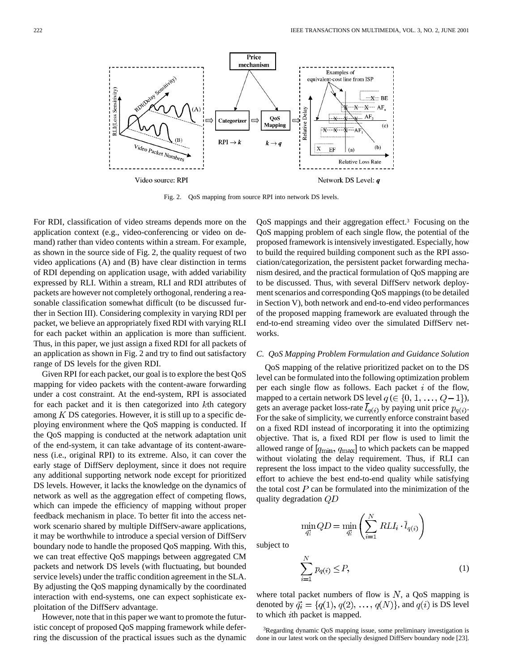

Fig. 2. QoS mapping from source RPI into network DS levels.

For RDI, classification of video streams depends more on the application context (e.g., video-conferencing or video on demand) rather than video contents within a stream. For example, as shown in the source side of Fig. 2, the quality request of two video applications (A) and (B) have clear distinction in terms of RDI depending on application usage, with added variability expressed by RLI. Within a stream, RLI and RDI attributes of packets are however not completely orthogonal, rendering a reasonable classification somewhat difficult (to be discussed further in Section III). Considering complexity in varying RDI per packet, we believe an appropriately fixed RDI with varying RLI for each packet within an application is more than sufficient. Thus, in this paper, we just assign a fixed RDI for all packets of an application as shown in Fig. 2 and try to find out satisfactory range of DS levels for the given RDI.

Given RPI for each packet, our goal is to explore the best QoS mapping for video packets with the content-aware forwarding under a cost constraint. At the end-system, RPI is associated for each packet and it is then categorized into  $k$ th category among  $K$  DS categories. However, it is still up to a specific deploying environment where the QoS mapping is conducted. If the QoS mapping is conducted at the network adaptation unit of the end-system, it can take advantage of its content-awareness (i.e., original RPI) to its extreme. Also, it can cover the early stage of DiffServ deployment, since it does not require any additional supporting network node except for prioritized DS levels. However, it lacks the knowledge on the dynamics of network as well as the aggregation effect of competing flows, which can impede the efficiency of mapping without proper feedback mechanism in place. To better fit into the access network scenario shared by multiple DiffServ-aware applications, it may be worthwhile to introduce a special version of DiffServ boundary node to handle the proposed QoS mapping. With this, we can treat effective QoS mappings between aggregated CM packets and network DS levels (with fluctuating, but bounded service levels) under the traffic condition agreement in the SLA. By adjusting the QoS mapping dynamically by the coordinated interaction with end-systems, one can expect sophisticate exploitation of the DiffServ advantage.

However, note that in this paper we want to promote the futuristic concept of proposed QoS mapping framework while deferring the discussion of the practical issues such as the dynamic QoS mappings and their aggregation effect.3 Focusing on the QoS mapping problem of each single flow, the potential of the proposed framework is intensively investigated. Especially, how to build the required building component such as the RPI association/categorization, the persistent packet forwarding mechanism desired, and the practical formulation of QoS mapping are to be discussed. Thus, with several DiffServ network deployment scenarios and corresponding QoS mappings (to be detailed in Section V), both network and end-to-end video performances of the proposed mapping framework are evaluated through the end-to-end streaming video over the simulated DiffServ networks.

## *C. QoS Mapping Problem Formulation and Guidance Solution*

QoS mapping of the relative prioritized packet on to the DS level can be formulated into the following optimization problem per each single flow as follows. Each packet  $i$  of the flow, mapped to a certain network DS level  $q \in \{0, 1, ..., Q-1\}$ , gets an average packet loss-rate  $\bar{l}_{q(i)}$  by paying unit price  $p_{q(i)}$ . For the sake of simplicity, we currently enforce constraint based on a fixed RDI instead of incorporating it into the optimizing objective. That is, a fixed RDI per flow is used to limit the allowed range of  $[q_{\min}, q_{\max}]$  to which packets can be mapped without violating the delay requirement. Thus, if RLI can represent the loss impact to the video quality successfully, the effort to achieve the best end-to-end quality while satisfying the total cost  $P$  can be formulated into the minimization of the quality degradation  $QD$ 

$$
\min_{\vec{q_i}} QD = \min_{\vec{q_i}} \left( \sum_{i=1}^N RLI_i \cdot \overline{l}_{q(i)} \right)
$$

subject to

$$
\sum_{i=1}^{N} p_{q(i)} \le P,\tag{1}
$$

where total packet numbers of flow is  $N$ , a QoS mapping is denoted by  $\vec{q}_i = \{q(1), q(2), \ldots, q(N)\}\$ , and  $q(i)$  is DS level to which *i*th packet is mapped.

3Regarding dynamic QoS mapping issue, some preliminary investigation is done in our latest work on the specially designed DiffServ boundary node [23].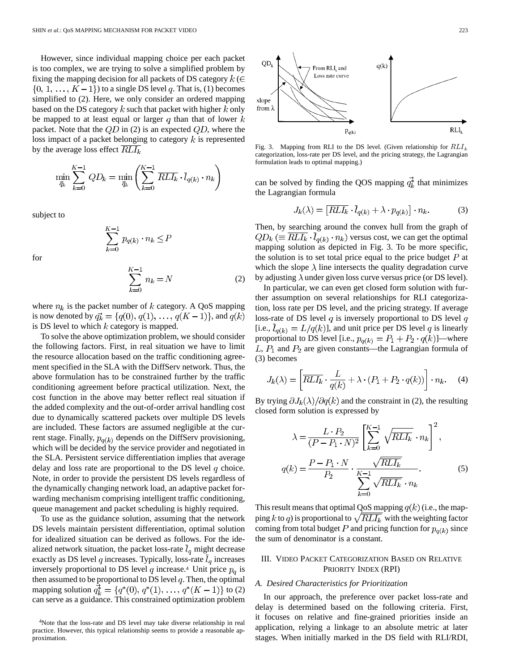However, since individual mapping choice per each packet is too complex, we are trying to solve a simplified problem by fixing the mapping decision for all packets of DS category  $k \in$  $\{0, 1, \ldots, K-1\}$  to a single DS level q. That is, (1) becomes simplified to (2). Here, we only consider an ordered mapping based on the DS category  $k$  such that packet with higher  $k$  only be mapped to at least equal or larger  $q$  than that of lower  $k$ packet. Note that the  $QD$  in (2) is an expected  $QD$ , where the loss impact of a packet belonging to category  $k$  is represented by the average loss effect  $\overline{RLI_k}$ 

$$
\min_{\vec{q}_k} \sum_{k=0}^{K-1} QD_k = \min_{\vec{q}_k} \left( \sum_{k=0}^{K-1} \overline{RLI_k} \cdot \overline{l}_{q(k)} \cdot n_k \right)
$$

subject to

$$
\sum_{k=0}^{K-1} p_{q(k)} \cdot n_k \le P
$$
  

$$
K-1
$$

for

$$
\sum_{k=0}^{K-1} n_k = N \tag{2}
$$

where  $n_k$  is the packet number of k category. A QoS mapping is now denoted by  $q_k^* = \{q(0), q(1), \ldots, q(K-1)\}\$ , and  $q(k)$ is DS level to which  $k$  category is mapped.

To solve the above optimization problem, we should consider the following factors. First, in real situation we have to limit the resource allocation based on the traffic conditioning agreement specified in the SLA with the DiffServ network. Thus, the above formulation has to be constrained further by the traffic conditioning agreement before practical utilization. Next, the cost function in the above may better reflect real situation if the added complexity and the out-of-order arrival handling cost due to dynamically scattered packets over multiple DS levels are included. These factors are assumed negligible at the current stage. Finally,  $p_{q(k)}$  depends on the DiffServ provisioning, which will be decided by the service provider and negotiated in the SLA. Persistent service differentiation implies that average delay and loss rate are proportional to the DS level  $q$  choice. Note, in order to provide the persistent DS levels regardless of the dynamically changing network load, an adaptive packet forwarding mechanism comprising intelligent traffic conditioning, queue management and packet scheduling is highly required.

To use as the guidance solution, assuming that the network DS levels maintain persistent differentiation, optimal solution for idealized situation can be derived as follows. For the idealized network situation, the packet loss-rate  $\bar{l}_q$  might decrease exactly as DS level q increases. Typically, loss-rate  $\bar{l}_q$  increases inversely proportional to DS level q increase.<sup>4</sup> Unit price  $p<sub>q</sub>$  is then assumed to be proportional to DS level  $q$ . Then, the optimal mapping solution  $q_k^* = \{q^*(0), q^*(1), \ldots, q^*(K-1)\}$  to (2) can serve as a guidance. This constrained optimization problem



Fig. 3. Mapping from RLI to the DS level. (Given relationship for  $RLI_k$ categorization, loss-rate per DS level, and the pricing strategy, the Lagrangian formulation leads to optimal mapping.)

can be solved by finding the QOS mapping  $\vec{q_k}$  that minimizes the Lagrangian formula

$$
J_k(\lambda) = \left[ \overline{RLI_k} \cdot \overline{l}_{q(k)} + \lambda \cdot p_{q(k)} \right] \cdot n_k. \tag{3}
$$

Then, by searching around the convex hull from the graph of  $QD_k \equiv \overline{RLI_k} \cdot \overline{l}_{q(k)} \cdot n_k$  versus cost, we can get the optimal mapping solution as depicted in Fig. 3. To be more specific, the solution is to set total price equal to the price budget  $P$  at which the slope  $\lambda$  line intersects the quality degradation curve by adjusting  $\lambda$  under given loss curve versus price (or DS level).

In particular, we can even get closed form solution with further assumption on several relationships for RLI categorization, loss rate per DS level, and the pricing strategy. If average loss-rate of DS level  $q$  is inversely proportional to DS level  $q$ [i.e.,  $\overline{l}_{q(k)} = L/q(k)$ ], and unit price per DS level q is linearly proportional to DS level [i.e.,  $p_{q(k)} = P_1 + P_2 \cdot q(k)$ ]—where L,  $P_1$  and  $P_2$  are given constants—the Lagrangian formula of (3) becomes

$$
J_k(\lambda) = \left[ \overline{RLI_k} \cdot \frac{L}{q(k)} + \lambda \cdot (P_1 + P_2 \cdot q(k)) \right] \cdot n_k. \tag{4}
$$

By trying  $\partial J_k(\lambda)/\partial q(k)$  and the constraint in (2), the resulting closed form solution is expressed by

$$
\lambda = \frac{L \cdot P_2}{(P - P_1 \cdot N)^2} \left[ \sum_{k=0}^{K-1} \sqrt{RLI_k} \cdot n_k \right]^2,
$$
  

$$
q(k) = \frac{P - P_1 \cdot N}{P_2} \cdot \frac{\sqrt{RLI_k}}{\sum_{k=0}^{K-1} \sqrt{RLI_k}} \cdot n_k.
$$
 (5)

This result means that optimal QoS mapping  $q(k)$  (i.e., the mapping k to q) is proportional to  $\sqrt{RLI_k}$  with the weighting factor coming from total budget P and pricing function for  $p_{q(k)}$  since the sum of denominator is a constant.

# III. VIDEO PACKET CATEGORIZATION BASED ON RELATIVE PRIORITY INDEX (RPI)

## *A. Desired Characteristics for Prioritization*

In our approach, the preference over packet loss-rate and delay is determined based on the following criteria. First, it focuses on relative and fine-grained priorities inside an application, relying a linkage to an absolute metric at later stages. When initially marked in the DS field with RLI/RDI,

<sup>4</sup>Note that the loss-rate and DS level may take diverse relationship in real practice. However, this typical relationship seems to provide a reasonable approximation.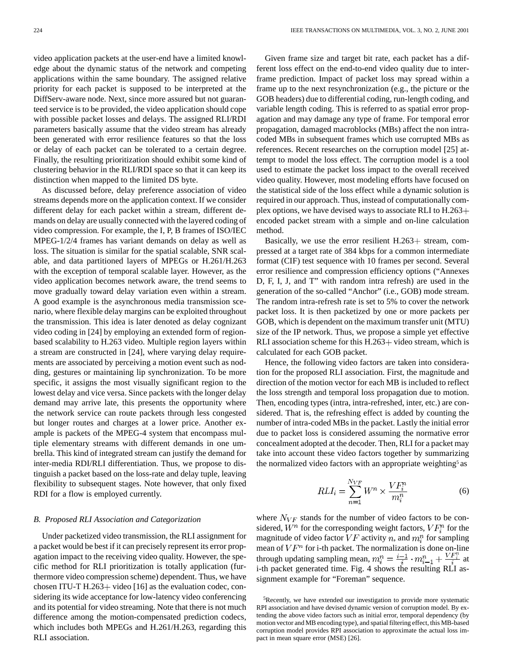video application packets at the user-end have a limited knowledge about the dynamic status of the network and competing applications within the same boundary. The assigned relative priority for each packet is supposed to be interpreted at the DiffServ-aware node. Next, since more assured but not guaranteed service is to be provided, the video application should cope with possible packet losses and delays. The assigned RLI/RDI parameters basically assume that the video stream has already been generated with error resilience features so that the loss or delay of each packet can be tolerated to a certain degree. Finally, the resulting prioritization should exhibit some kind of clustering behavior in the RLI/RDI space so that it can keep its distinction when mapped to the limited DS byte.

As discussed before, delay preference association of video streams depends more on the application context. If we consider different delay for each packet within a stream, different demands on delay are usually connected with the layered coding of video compression. For example, the I, P, B frames of ISO/IEC MPEG-1/2/4 frames has variant demands on delay as well as loss. The situation is similar for the spatial scalable, SNR scalable, and data partitioned layers of MPEGs or H.261/H.263 with the exception of temporal scalable layer. However, as the video application becomes network aware, the trend seems to move gradually toward delay variation even within a stream. A good example is the asynchronous media transmission scenario, where flexible delay margins can be exploited throughout the transmission. This idea is later denoted as delay cognizant video coding in [24] by employing an extended form of regionbased scalability to H.263 video. Multiple region layers within a stream are constructed in [24], where varying delay requirements are associated by perceiving a motion event such as nodding, gestures or maintaining lip synchronization. To be more specific, it assigns the most visually significant region to the lowest delay and vice versa. Since packets with the longer delay demand may arrive late, this presents the opportunity where the network service can route packets through less congested but longer routes and charges at a lower price. Another example is packets of the MPEG-4 system that encompass multiple elementary streams with different demands in one umbrella. This kind of integrated stream can justify the demand for inter-media RDI/RLI differentiation. Thus, we propose to distinguish a packet based on the loss-rate and delay tuple, leaving flexibility to subsequent stages. Note however, that only fixed RDI for a flow is employed currently.

#### *B. Proposed RLI Association and Categorization*

Under packetized video transmission, the RLI assignment for a packet would be best if it can precisely represent its error propagation impact to the receiving video quality. However, the specific method for RLI prioritization is totally application (furthermore video compression scheme) dependent. Thus, we have chosen ITU-T H.263+ video [16] as the evaluation codec, considering its wide acceptance for low-latency video conferencing and its potential for video streaming. Note that there is not much difference among the motion-compensated prediction codecs, which includes both MPEGs and H.261/H.263, regarding this RLI association.

Given frame size and target bit rate, each packet has a different loss effect on the end-to-end video quality due to interframe prediction. Impact of packet loss may spread within a frame up to the next resynchronization (e.g., the picture or the GOB headers) due to differential coding, run-length coding, and variable length coding. This is referred to as spatial error propagation and may damage any type of frame. For temporal error propagation, damaged macroblocks (MBs) affect the non intracoded MBs in subsequent frames which use corrupted MBs as references. Recent researches on the corruption model [25] attempt to model the loss effect. The corruption model is a tool used to estimate the packet loss impact to the overall received video quality. However, most modeling efforts have focused on the statistical side of the loss effect while a dynamic solution is required in our approach. Thus, instead of computationally complex options, we have devised ways to associate RLI to H.263 encoded packet stream with a simple and on-line calculation method.

Basically, we use the error resilient  $H.263+$  stream, compressed at a target rate of 384 kbps for a common intermediate format (CIF) test sequence with 10 frames per second. Several error resilience and compression efficiency options ("Annexes D, F, I, J, and T" with random intra refresh) are used in the generation of the so-called "Anchor" (i.e., GOB) mode stream. The random intra-refresh rate is set to 5% to cover the network packet loss. It is then packetized by one or more packets per GOB, which is dependent on the maximum transfer unit (MTU) size of the IP network. Thus, we propose a simple yet effective RLI association scheme for this  $H.263+$  video stream, which is calculated for each GOB packet.

Hence, the following video factors are taken into consideration for the proposed RLI association. First, the magnitude and direction of the motion vector for each MB is included to reflect the loss strength and temporal loss propagation due to motion. Then, encoding types (intra, intra-refreshed, inter, etc.) are considered. That is, the refreshing effect is added by counting the number of intra-coded MBs in the packet. Lastly the initial error due to packet loss is considered assuming the normative error concealment adopted at the decoder. Then, RLI for a packet may take into account these video factors together by summarizing the normalized video factors with an appropriate weighting<sup>5</sup> as

$$
RLI_i = \sum_{n=1}^{NVF} W^n \times \frac{VF_i^n}{m_i^n} \tag{6}
$$

where  $N_{VF}$  stands for the number of video factors to be considered,  $W^n$  for the corresponding weight factors,  $VF_i^n$  for the magnitude of video factor  $VF$  activity n, and  $m_i^n$  for sampling mean of  $VF<sup>n</sup>$  for i-th packet. The normalization is done on-line through updating sampling mean,  $m_i^n = \frac{i-1}{i} \cdot m_{i-1}^n + \frac{VF_i^n}{i}$  at i-th packet generated time. Fig. 4 shows the resulting RLI assignment example for "Foreman" sequence.

<sup>5</sup>Recently, we have extended our investigation to provide more systematic RPI association and have devised dynamic version of corruption model. By extending the above video factors such as initial error, temporal dependency (by motion vector and MB encoding type), and spatial filtering effect, this MB-based corruption model provides RPI association to approximate the actual loss impact in mean square error (MSE) [26].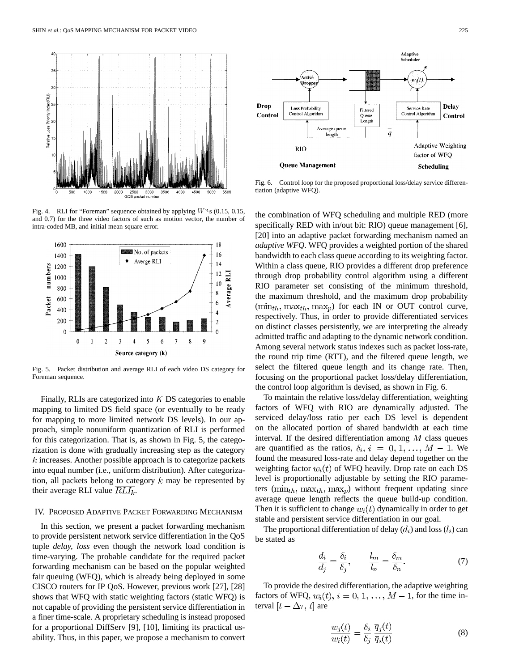

Fig. 4. RLI for "Foreman" sequence obtained by applying  $W^n$ s (0.15, 0.15, and 0.7) for the three video factors of such as motion vector, the number of intra-coded MB, and initial mean square error.



Fig. 5. Packet distribution and average RLI of each video DS category for Foreman sequence.

Finally, RLIs are categorized into  $K$  DS categories to enable mapping to limited DS field space (or eventually to be ready for mapping to more limited network DS levels). In our approach, simple nonuniform quantization of RLI is performed for this categorization. That is, as shown in Fig. 5, the categorization is done with gradually increasing step as the category  $k$  increases. Another possible approach is to categorize packets into equal number (i.e., uniform distribution). After categorization, all packets belong to category  $k$  may be represented by their average RLI value  $\overline{RLI_k}$ .

## IV. PROPOSED ADAPTIVE PACKET FORWARDING MECHANISM

In this section, we present a packet forwarding mechanism to provide persistent network service differentiation in the QoS tuple *delay, loss* even though the network load condition is time-varying. The probable candidate for the required packet forwarding mechanism can be based on the popular weighted fair queuing (WFQ), which is already being deployed in some CISCO routers for IP QoS. However, previous work [27], [28] shows that WFQ with static weighting factors (static WFQ) is not capable of providing the persistent service differentiation in a finer time-scale. A proprietary scheduling is instead proposed for a proportional DiffServ [9], [10], limiting its practical usability. Thus, in this paper, we propose a mechanism to convert



Fig. 6. Control loop for the proposed proportional loss/delay service differentiation (adaptive WFQ).

the combination of WFQ scheduling and multiple RED (more specifically RED with in/out bit: RIO) queue management [6], [20] into an adaptive packet forwarding mechanism named an *adaptive WFQ*. WFQ provides a weighted portion of the shared bandwidth to each class queue according to its weighting factor. Within a class queue, RIO provides a different drop preference through drop probability control algorithm using a different RIO parameter set consisting of the minimum threshold, the maximum threshold, and the maximum drop probability  $(\min_{th}$ ,  $\max_{th}$ ,  $\max_{p}$ ) for each IN or OUT control curve, respectively. Thus, in order to provide differentiated services on distinct classes persistently, we are interpreting the already admitted traffic and adapting to the dynamic network condition. Among several network status indexes such as packet loss-rate, the round trip time (RTT), and the filtered queue length, we select the filtered queue length and its change rate. Then, focusing on the proportional packet loss/delay differentiation, the control loop algorithm is devised, as shown in Fig. 6.

To maintain the relative loss/delay differentiation, weighting factors of WFQ with RIO are dynamically adjusted. The serviced delay/loss ratio per each DS level is dependent on the allocated portion of shared bandwidth at each time interval. If the desired differentiation among  $M$  class queues are quantified as the ratios,  $\delta_i$ ,  $i = 0, 1, ..., M - 1$ . We found the measured loss-rate and delay depend together on the weighting factor  $w_i(t)$  of WFQ heavily. Drop rate on each DS level is proportionally adjustable by setting the RIO parameters  $(\min_{th}$ ,  $\max_{th}$ ,  $\max_{p}$ ) without frequent updating since average queue length reflects the queue build-up condition. Then it is sufficient to change  $w_i(t)$  dynamically in order to get stable and persistent service differentiation in our goal.

The proportional differentiation of delay  $(d_i)$  and loss  $(l_i)$  can be stated as

$$
\frac{d_i}{d_j} = \frac{\delta_i}{\delta_j}, \qquad \frac{l_m}{l_n} = \frac{\delta_m}{\delta_n}.
$$
 (7)

To provide the desired differentiation, the adaptive weighting factors of WFQ,  $w_i(t)$ ,  $i = 0, 1, ..., M - 1$ , for the time interval  $[t - \Delta \tau, t]$  are

$$
\frac{w_j(t)}{w_i(t)} = \frac{\delta_i}{\delta_j} \frac{\overline{q}_j(t)}{\overline{q}_i(t)}
$$
(8)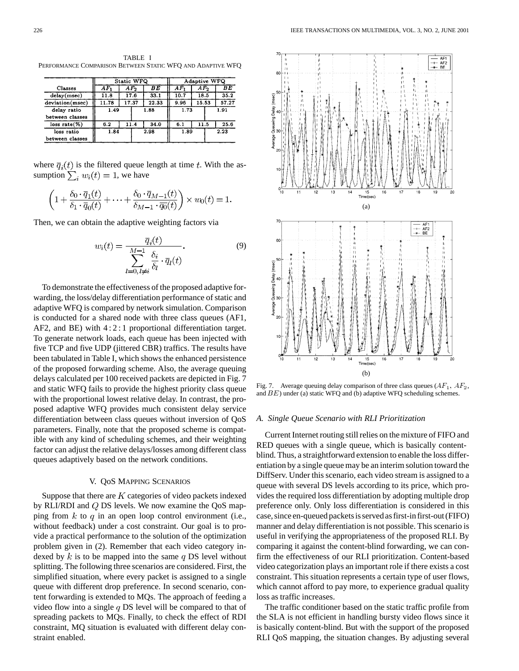TABLE I PERFORMANCE COMPARISON BETWEEN STATIC WFQ AND ADAPTIVE WFQ

|                                | Static WFQ |                 |       | <b>Adaptive WFQ</b> |                 |  |       |
|--------------------------------|------------|-----------------|-------|---------------------|-----------------|--|-------|
| <b>Classes</b>                 | AF,        | AF <sub>2</sub> | BЕ    | AF.                 | AF <sub>2</sub> |  | BE    |
| delay(msec)                    | 11.8       | 17.6            | 33.1  | 10.7                | 18.5            |  | 35.2  |
| deviation(msec)                | 11.78      | 17.37           | 22.33 | 9.96                | 15.53           |  | 57.27 |
| delay ratio<br>between classes | 1.49       |                 | 1.88  | 1.73                |                 |  | 1.91  |
| loss rate $(\%)$               | 6.2        | 11.4            | 34.0  | 6.1                 | 11.5            |  | 25.6  |
| loss ratio<br>between classes  | 1.84       | 2.98            |       | 1.89                |                 |  | 2.23  |

where  $\overline{q}_i(t)$  is the filtered queue length at time t. With the assumption  $\sum_i w_i(t) = 1$ , we have

$$
\left(1 + \frac{\delta_0 \cdot \overline{q}_1(t)}{\delta_1 \cdot \overline{q}_0(t)} + \dots + \frac{\delta_0 \cdot \overline{q}_{M-1}(t)}{\delta_{M-1} \cdot \overline{q}_0(t)}\right) \times w_0(t) = 1.
$$

Then, we can obtain the adaptive weighting factors via

$$
w_i(t) = \frac{\overline{q}_i(t)}{\sum_{l=0, l \neq i}^{M-1} \frac{\delta_i}{\delta_l} \cdot \overline{q}_l(t)}.
$$
\n(9)

To demonstrate the effectiveness of the proposed adaptive forwarding, the loss/delay differentiation performance of static and adaptive WFQ is compared by network simulation. Comparison is conducted for a shared node with three class queues (AF1, AF2, and BE) with 4:2:1 proportional differentiation target. To generate network loads, each queue has been injected with five TCP and five UDP (jittered CBR) traffics. The results have been tabulated in Table I, which shows the enhanced persistence of the proposed forwarding scheme. Also, the average queuing delays calculated per 100 received packets are depicted in Fig. 7 and static WFQ fails to provide the highest priority class queue with the proportional lowest relative delay. In contrast, the proposed adaptive WFQ provides much consistent delay service differentiation between class queues without inversion of QoS parameters. Finally, note that the proposed scheme is compatible with any kind of scheduling schemes, and their weighting factor can adjust the relative delays/losses among different class queues adaptively based on the network conditions.

## V. QoS MAPPING SCENARIOS

Suppose that there are  $K$  categories of video packets indexed by RLI/RDI and  $Q$  DS levels. We now examine the QoS mapping from  $k$  to  $q$  in an open loop control environment (i.e., without feedback) under a cost constraint. Our goal is to provide a practical performance to the solution of the optimization problem given in (2). Remember that each video category indexed by k is to be mapped into the same q DS level without splitting. The following three scenarios are considered. First, the simplified situation, where every packet is assigned to a single queue with different drop preference. In second scenario, content forwarding is extended to MQs. The approach of feeding a video flow into a single  $q$  DS level will be compared to that of spreading packets to MQs. Finally, to check the effect of RDI constraint, MQ situation is evaluated with different delay constraint enabled.



Fig. 7. Average queuing delay comparison of three class queues  $(AF_1, AF_2,$ and  $BE$ ) under (a) static WFQ and (b) adaptive WFQ scheduling schemes.

## *A. Single Queue Scenario with RLI Prioritization*

Current Internet routing still relies on the mixture of FIFO and RED queues with a single queue, which is basically contentblind. Thus, a straightforward extension to enable the loss differentiation by a single queue may be an interim solution toward the DiffServ. Under this scenario, each video stream is assigned to a queue with several DS levels according to its price, which provides the required loss differentiation by adopting multiple drop preference only. Only loss differentiation is considered in this case, since en-queued packets is served as first-in first-out (FIFO) manner and delay differentiation is not possible. This scenario is useful in verifying the appropriateness of the proposed RLI. By comparing it against the content-blind forwarding, we can confirm the effectiveness of our RLI prioritization. Content-based video categorization plays an important role if there exists a cost constraint. This situation represents a certain type of user flows, which cannot afford to pay more, to experience gradual quality loss as traffic increases.

The traffic conditioner based on the static traffic profile from the SLA is not efficient in handling bursty video flows since it is basically content-blind. But with the support of the proposed RLI QoS mapping, the situation changes. By adjusting several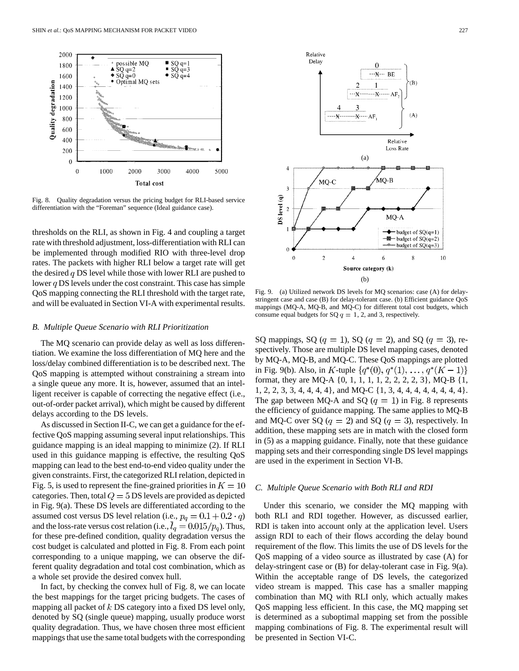

Fig. 8. Quality degradation versus the pricing budget for RLI-based service differentiation with the "Foreman" sequence (Ideal guidance case).

thresholds on the RLI, as shown in Fig. 4 and coupling a target rate with threshold adjustment, loss-differentiation with RLI can be implemented through modified RIO with three-level drop rates. The packets with higher RLI below a target rate will get the desired  $q$  DS level while those with lower RLI are pushed to lower  $q$  DS levels under the cost constraint. This case has simple QoS mapping connecting the RLI threshold with the target rate, and will be evaluated in Section VI-A with experimental results.

#### *B. Multiple Queue Scenario with RLI Prioritization*

The MQ scenario can provide delay as well as loss differentiation. We examine the loss differentiation of MQ here and the loss/delay combined differentiation is to be described next. The QoS mapping is attempted without constraining a stream into a single queue any more. It is, however, assumed that an intelligent receiver is capable of correcting the negative effect (i.e., out-of-order packet arrival), which might be caused by different delays according to the DS levels.

As discussed in Section II-C, we can get a guidance for the effective QoS mapping assuming several input relationships. This guidance mapping is an ideal mapping to minimize (2). If RLI used in this guidance mapping is effective, the resulting QoS mapping can lead to the best end-to-end video quality under the given constraints. First, the categorized RLI relation, depicted in Fig. 5, is used to represent the fine-grained priorities in  $K = 10$ categories. Then, total  $Q = 5$  DS levels are provided as depicted in Fig. 9(a). These DS levels are differentiated according to the assumed cost versus DS level relation (i.e.,  $p_q = 0.1 + 0.2 \cdot q$ ) and the loss-rate versus cost relation (i.e.,  $\overline{l}_q = 0.015/p_q$ ). Thus, for these pre-defined condition, quality degradation versus the cost budget is calculated and plotted in Fig. 8. From each point corresponding to a unique mapping, we can observe the different quality degradation and total cost combination, which as a whole set provide the desired convex hull.

In fact, by checking the convex hull of Fig. 8, we can locate the best mappings for the target pricing budgets. The cases of mapping all packet of  $k$  DS category into a fixed DS level only, denoted by SQ (single queue) mapping, usually produce worst quality degradation. Thus, we have chosen three most efficient mappings that use the same total budgets with the corresponding



Fig. 9. (a) Utilized network DS levels for MQ scenarios: case (A) for delaystringent case and case (B) for delay-tolerant case. (b) Efficient guidance QoS mappings (MQ-A, MQ-B, and MQ-C) for different total cost budgets, which consume equal budgets for  $SQ q = 1, 2$ , and 3, respectively.

SQ mappings, SQ  $(q = 1)$ , SQ  $(q = 2)$ , and SQ  $(q = 3)$ , respectively. Those are multiple DS level mapping cases, denoted by MQ-A, MQ-B, and MQ-C. These QoS mappings are plotted in Fig. 9(b). Also, in K-tuple  $\{q^*(0), q^*(1), \ldots, q^*(K-1)\}\$ format, they are MQ-A {0, 1, 1, 1, 1, 2, 2, 2, 2, 3}, MQ-B {1, 1, 2, 2, 3, 3, 4, 4, 4, 4}, and MQ-C {1, 3, 4, 4, 4, 4, 4, 4, 4, 4}. The gap between MQ-A and SQ  $(q = 1)$  in Fig. 8 represents the efficiency of guidance mapping. The same applies to MQ-B and MQ-C over SQ  $(q = 2)$  and SQ  $(q = 3)$ , respectively. In addition, these mapping sets are in match with the closed form in (5) as a mapping guidance. Finally, note that these guidance mapping sets and their corresponding single DS level mappings are used in the experiment in Section VI-B.

## *C. Multiple Queue Scenario with Both RLI and RDI*

Under this scenario, we consider the MQ mapping with both RLI and RDI together. However, as discussed earlier, RDI is taken into account only at the application level. Users assign RDI to each of their flows according the delay bound requirement of the flow. This limits the use of DS levels for the QoS mapping of a video source as illustrated by case (A) for delay-stringent case or (B) for delay-tolerant case in Fig. 9(a). Within the acceptable range of DS levels, the categorized video stream is mapped. This case has a smaller mapping combination than MQ with RLI only, which actually makes QoS mapping less efficient. In this case, the MQ mapping set is determined as a suboptimal mapping set from the possible mapping combinations of Fig. 8. The experimental result will be presented in Section VI-C.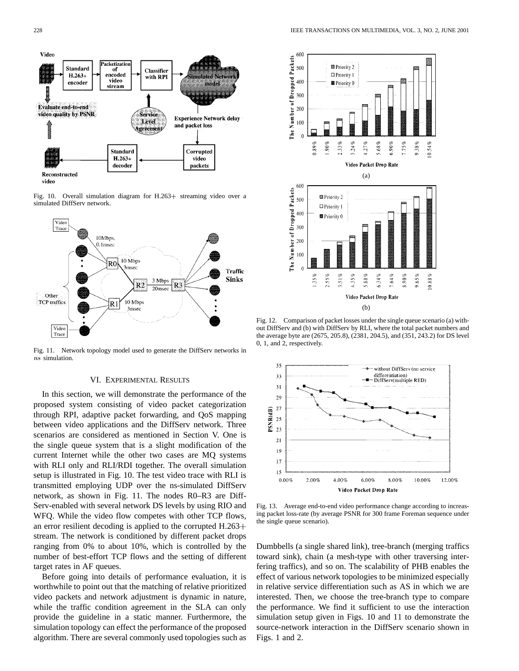

Fig. 10. Overall simulation diagram for H.263+ streaming video over a simulated DiffServ network.



Fig. 11. Network topology model used to generate the DiffServ networks in ns simulation.

#### VI. EXPERIMENTAL RESULTS

In this section, we will demonstrate the performance of the proposed system consisting of video packet categorization through RPI, adaptive packet forwarding, and QoS mapping between video applications and the DiffServ network. Three scenarios are considered as mentioned in Section V. One is the single queue system that is a slight modification of the current Internet while the other two cases are MQ systems with RLI only and RLI/RDI together. The overall simulation setup is illustrated in Fig. 10. The test video trace with RLI is transmitted employing UDP over the ns-simulated DiffServ network, as shown in Fig. 11. The nodes R0–R3 are Diff-Serv-enabled with several network DS levels by using RIO and WFQ. While the video flow competes with other TCP flows, an error resilient decoding is applied to the corrupted H.263 stream. The network is conditioned by different packet drops ranging from 0% to about 10%, which is controlled by the number of best-effort TCP flows and the setting of different target rates in AF queues.

Before going into details of performance evaluation, it is worthwhile to point out that the matching of relative prioritized video packets and network adjustment is dynamic in nature, while the traffic condition agreement in the SLA can only provide the guideline in a static manner. Furthermore, the simulation topology can effect the performance of the proposed algorithm. There are several commonly used topologies such as



Fig. 12. Comparison of packet losses under the single queue scenario (a) without DiffServ and (b) with DiffServ by RLI, where the total packet numbers and the average byte are (2675, 205.8), (2381, 204.5), and (351, 243.2) for DS level 0, 1, and 2, respectively.



Fig. 13. Average end-to-end video performance change according to increasing packet loss-rate (by average PSNR for 300 frame Foreman sequence under the single queue scenario).

Dumbbells (a single shared link), tree-branch (merging traffics toward sink), chain (a mesh-type with other traversing interfering traffics), and so on. The scalability of PHB enables the effect of various network topologies to be minimized especially in relative service differentiation such as AS in which we are interested. Then, we choose the tree-branch type to compare the performance. We find it sufficient to use the interaction simulation setup given in Figs. 10 and 11 to demonstrate the source-network interaction in the DiffServ scenario shown in Figs. 1 and 2.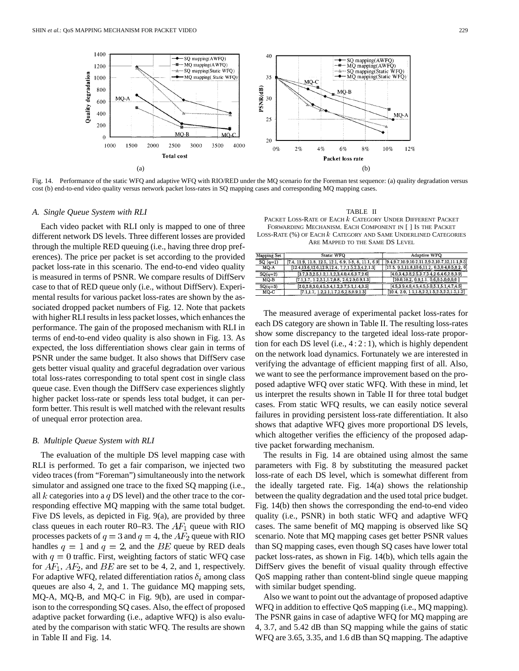

Fig. 14. Performance of the static WFQ and adaptive WFQ with RIO/RED under the MQ scenario for the Foreman test sequence: (a) quality degradation versus cost (b) end-to-end video quality versus network packet loss-rates in SQ mapping cases and corresponding MQ mapping cases.

#### *A. Single Queue System with RLI*

Each video packet with RLI only is mapped to one of three different network DS levels. Three different losses are provided through the multiple RED queuing (i.e., having three drop preferences). The price per packet is set according to the provided packet loss-rate in this scenario. The end-to-end video quality is measured in terms of PSNR. We compare results of DiffServ case to that of RED queue only (i.e., without DiffServ). Experimental results for various packet loss-rates are shown by the associated dropped packet numbers of Fig. 12. Note that packets with higher RLI results in less packet losses, which enhances the performance. The gain of the proposed mechanism with RLI in terms of end-to-end video quality is also shown in Fig. 13. As expected, the loss differentiation shows clear gain in terms of PSNR under the same budget. It also shows that DiffServ case gets better visual quality and graceful degradation over various total loss-rates corresponding to total spent cost in single class queue case. Even though the DiffServ case experiences slightly higher packet loss-rate or spends less total budget, it can perform better. This result is well matched with the relevant results of unequal error protection area.

#### *B. Multiple Queue System with RLI*

The evaluation of the multiple DS level mapping case with RLI is performed. To get a fair comparison, we injected two video traces (from "Foreman") simultaneously into the network simulator and assigned one trace to the fixed SQ mapping (i.e., all k categories into a  $q$  DS level) and the other trace to the corresponding effective MQ mapping with the same total budget. Five DS levels, as depicted in Fig. 9(a), are provided by three class queues in each router R0–R3. The  $AF_1$  queue with RIO processes packets of  $q = 3$  and  $q = 4$ , the  $AF_2$  queue with RIO handles  $q = 1$  and  $q = 2$ , and the BE queue by RED deals with  $q = 0$  traffic. First, weighting factors of static WFQ case for  $AF_1$ ,  $AF_2$ , and  $BE$  are set to be 4, 2, and 1, respectively. For adaptive WFQ, related differentiation ratios  $\delta_i$  among class queues are also 4, 2, and 1. The guidance MQ mapping sets, MQ-A, MQ-B, and MQ-C in Fig. 9(b), are used in comparison to the corresponding SQ cases. Also, the effect of proposed adaptive packet forwarding (i.e., adaptive WFQ) is also evaluated by the comparison with static WFQ. The results are shown in Table II and Fig. 14.

TABLE II

| PACKET LOSS-RATE OF EACH k CATEGORY UNDER DIFFERENT PACKET        |
|-------------------------------------------------------------------|
| FORWARDING MECHANISM. EACH COMPONENT IN [ ] IS THE PACKET         |
| LOSS-RATE (%) OF EACH $k$ CATEGORY AND SAME UNDERLINED CATEGORIES |
| ARE MAPPED TO THE SAME DS LEVEL                                   |

| Mapping Set | Static WFQ                                                | <b>Adaptive WFQ</b>                                      |  |  |  |
|-------------|-----------------------------------------------------------|----------------------------------------------------------|--|--|--|
| $SQ(q=1)$   | $[7.4, 11.9, 11.8, 12.5, 12.1, 6.9, 5.8, 8, 11.1, 6.9]$   | $[9.4, 9.7, 10.9, 10.2, 11.2, 9.2, 10.7, 12, 11.1, 9.5]$ |  |  |  |
| $MO-A$      | $[12.4, 13.6, 12.6, 12.9, 12.4, 7.7, 1.5, 2.3, 4.2, 1.3]$ | $[17.5, 9.3, 11.8, 10.6, 11.2, 0.3, 0.4, 0.5, 0.2, 0]$   |  |  |  |
| $SQ(q=2)$   | $[3.7, 3.3, 2.5, 1.2, 1.1, 2, 3, 4.0, 4.6, 3.7, 2.6]$     | $[4.0, 3.4, 3.8, 2.5, 3.7, 3.4, 2.6, 4.6, 2.8, 3.9]$     |  |  |  |
| $MO-B$      | $[7.1, 1.7, 1.2, 2.1, 1.7, 0.8, 2.6, 2.9, 0.9, 1.3]$      | $[10.0, 10.2, 0.9, 1.1, 0.6, 0.5, 0, 0, 0, 0]$           |  |  |  |
| $SQ(q=3)$   | $[2.0, 2.8, 3.0, 4.5, 3.4, 1.2, 3.7, 5.1, 1.4, 3.5]$      | $[4.5, 3.9, 4.8, 4.5, 4.5, 5.0, 5.1, 5.1, 4.7, 4.5]$     |  |  |  |
| MO C        | $[7.1, 1.7, 1.2, 2.1, 1.7, 2.6, 2.8, 0.9, 1.3]$           | $[10.4, 2.0, 1.1, 1.8, 2.2, 1.5, 2.3, 2.2, 1.5, 1.2]$    |  |  |  |

The measured average of experimental packet loss-rates for each DS category are shown in Table II. The resulting loss-rates show some discrepancy to the targeted ideal loss-rate proportion for each DS level (i.e.,  $4:2:1$ ), which is highly dependent on the network load dynamics. Fortunately we are interested in verifying the advantage of efficient mapping first of all. Also, we want to see the performance improvement based on the proposed adaptive WFQ over static WFQ. With these in mind, let us interpret the results shown in Table II for three total budget cases. From static WFQ results, we can easily notice several failures in providing persistent loss-rate differentiation. It also shows that adaptive WFQ gives more proportional DS levels, which altogether verifies the efficiency of the proposed adaptive packet forwarding mechanism.

The results in Fig. 14 are obtained using almost the same parameters with Fig. 8 by substituting the measured packet loss-rate of each DS level, which is somewhat different from the ideally targeted rate. Fig. 14(a) shows the relationship between the quality degradation and the used total price budget. Fig. 14(b) then shows the corresponding the end-to-end video quality (i.e., PSNR) in both static WFQ and adaptive WFQ cases. The same benefit of MQ mapping is observed like SQ scenario. Note that MQ mapping cases get better PSNR values than SQ mapping cases, even though SQ cases have lower total packet loss-rates, as shown in Fig. 14(b), which tells again the DiffServ gives the benefit of visual quality through effective QoS mapping rather than content-blind single queue mapping with similar budget spending.

Also we want to point out the advantage of proposed adaptive WFQ in addition to effective QoS mapping (i.e., MQ mapping). The PSNR gains in case of adaptive WFQ for MQ mapping are 4, 3.7, and 5.42 dB than SQ mapping while the gains of static WFQ are 3.65, 3.35, and 1.6 dB than SQ mapping. The adaptive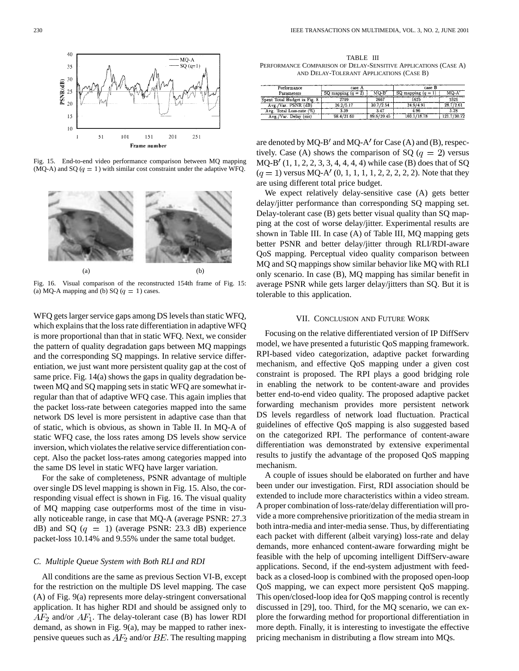

Fig. 15. End-to-end video performance comparison between MQ mapping (MQ-A) and SQ ( $q = 1$ ) with similar cost constraint under the adaptive WFQ.



Fig. 16. Visual comparison of the reconstructed 154th frame of Fig. 15: (a) MQ-A mapping and (b) SQ  $(q = 1)$  cases.

WFQ gets larger service gaps among DS levels than static WFQ, which explains that the loss rate differentiation in adaptive WFQ is more proportional than that in static WFQ. Next, we consider the pattern of quality degradation gaps between MQ mappings and the corresponding SQ mappings. In relative service differentiation, we just want more persistent quality gap at the cost of same price. Fig. 14(a) shows the gaps in quality degradation between MQ and SQ mapping sets in static WFQ are somewhat irregular than that of adaptive WFQ case. This again implies that the packet loss-rate between categories mapped into the same network DS level is more persistent in adaptive case than that of static, which is obvious, as shown in Table II. In MQ-A of static WFQ case, the loss rates among DS levels show service inversion, which violates the relative service differentiation concept. Also the packet loss-rates among categories mapped into the same DS level in static WFQ have larger variation.

For the sake of completeness, PSNR advantage of multiple over single DS level mapping is shown in Fig. 15. Also, the corresponding visual effect is shown in Fig. 16. The visual quality of MQ mapping case outperforms most of the time in visually noticeable range, in case that MQ-A (average PSNR: 27.3 dB) and SQ  $(q = 1)$  (average PSNR: 23.3 dB) experience packet-loss 10.14% and 9.55% under the same total budget.

## *C. Multiple Queue System with Both RLI and RDI*

All conditions are the same as previous Section VI-B, except for the restriction on the multiple DS level mapping. The case (A) of Fig. 9(a) represents more delay-stringent conversational application. It has higher RDI and should be assigned only to  $AF_2$  and/or  $AF_1$ . The delay-tolerant case (B) has lower RDI demand, as shown in Fig. 9(a), may be mapped to rather inexpensive queues such as  $AF_2$  and/or  $BE$ . The resulting mapping

TABLE III PERFORMANCE COMPARISON OF DELAY-SENSITIVE APPLICATIONS (CASE A) AND DELAY-TOLERANT APPLICATIONS (CASE B)

| Performance                  | case A            |            | case B            |             |  |
|------------------------------|-------------------|------------|-------------------|-------------|--|
| Parameters                   | SQ mapping $(a =$ | MO-B       | mapping $(q = 1)$ | MO-7        |  |
| Spent Total Budget in Fig. 8 | 2709              | 2667       | 1625              | 1521        |  |
| $Avg./Var. PSNR$ (dB)        | 26.2/5.17         | 30.7/2.54  | 24.9/4.91         | 28.7/2.61   |  |
| Avg. Total Loss-rate $(\%)$  | 3.39              | 3.47       | 4.96              | 5.28        |  |
| Avg./Var. Delay (ms)         | 98.4/21.60        | 89.6/20.45 | 103.1/18.78       | 121.7/30.72 |  |

are denoted by  $MQ-B'$  and  $MQ-A'$  for Case  $(A)$  and  $(B)$ , respectively. Case (A) shows the comparison of SQ ( $q = 2$ ) versus  $MQ-B' (1, 1, 2, 2, 3, 3, 4, 4, 4, 4)$  while case (B) does that of SQ  $(q = 1)$  versus MQ-A'  $(0, 1, 1, 1, 1, 2, 2, 2, 2, 2)$ . Note that they are using different total price budget.

We expect relatively delay-sensitive case (A) gets better delay/jitter performance than corresponding SQ mapping set. Delay-tolerant case (B) gets better visual quality than SQ mapping at the cost of worse delay/jitter. Experimental results are shown in Table III. In case (A) of Table III, MQ mapping gets better PSNR and better delay/jitter through RLI/RDI-aware QoS mapping. Perceptual video quality comparison between MQ and SQ mappings show similar behavior like MQ with RLI only scenario. In case (B), MQ mapping has similar benefit in average PSNR while gets larger delay/jitters than SQ. But it is tolerable to this application.

# VII. CONCLUSION AND FUTURE WORK

Focusing on the relative differentiated version of IP DiffServ model, we have presented a futuristic QoS mapping framework. RPI-based video categorization, adaptive packet forwarding mechanism, and effective QoS mapping under a given cost constraint is proposed. The RPI plays a good bridging role in enabling the network to be content-aware and provides better end-to-end video quality. The proposed adaptive packet forwarding mechanism provides more persistent network DS levels regardless of network load fluctuation. Practical guidelines of effective QoS mapping is also suggested based on the categorized RPI. The performance of content-aware differentiation was demonstrated by extensive experimental results to justify the advantage of the proposed QoS mapping mechanism.

A couple of issues should be elaborated on further and have been under our investigation. First, RDI association should be extended to include more characteristics within a video stream. A proper combination of loss-rate/delay differentiation will provide a more comprehensive prioritization of the media stream in both intra-media and inter-media sense. Thus, by differentiating each packet with different (albeit varying) loss-rate and delay demands, more enhanced content-aware forwarding might be feasible with the help of upcoming intelligent DiffServ-aware applications. Second, if the end-system adjustment with feedback as a closed-loop is combined with the proposed open-loop QoS mapping, we can expect more persistent QoS mapping. This open/closed-loop idea for QoS mapping control is recently discussed in [29], too. Third, for the MQ scenario, we can explore the forwarding method for proportional differentiation in more depth. Finally, it is interesting to investigate the effective pricing mechanism in distributing a flow stream into MQs.